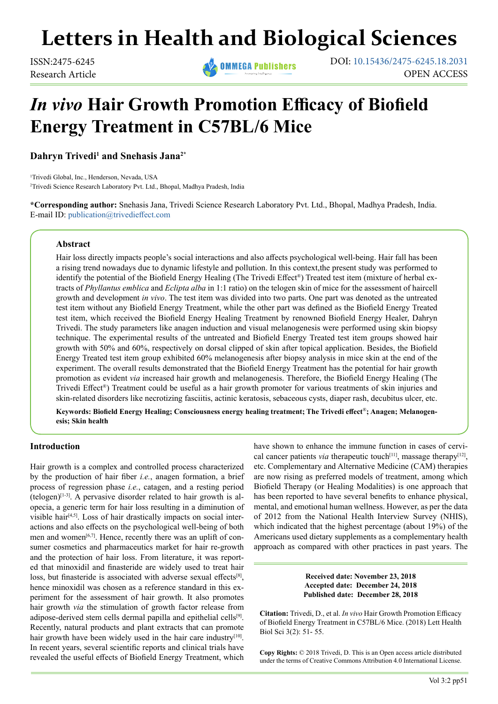# **Letters in Health and Biological Sciences**

**ISSN:2475-6245 DOI:** 10.15436/2475-6245.18.2031 Research Article OPEN ACCESS

# *In vivo* **Hair Growth Promotion Efficacy of Biofield Energy Treatment in C57BL/6 Mice**

**Dahryn Trivedi<sup>1</sup> and Snehasis Jana2\***

1 Trivedi Global, Inc., Henderson, Nevada, USA 2 Trivedi Science Research Laboratory Pvt. Ltd., Bhopal, Madhya Pradesh, India

**\*Corresponding author:** Snehasis Jana, Trivedi Science Research Laboratory Pvt. Ltd., Bhopal, Madhya Pradesh, India. E-mail ID: [publication@trivedieffect.com](mailto:publication%40trivedieffect.com?subject=)

## **Abstract**

Hair loss directly impacts people's social interactions and also affects psychological well-being. Hair fall has been a rising trend nowadays due to dynamic lifestyle and pollution. In this context,the present study was performed to identify the potential of the Biofield Energy Healing (The Trivedi Effect®) Treated test item (mixture of herbal extracts of *Phyllantus emblica* and *Eclipta alba* in 1:1 ratio) on the telogen skin of mice for the assessment of haircell growth and development *in vivo*. The test item was divided into two parts. One part was denoted as the untreated test item without any Biofield Energy Treatment, while the other part was defined as the Biofield Energy Treated test item, which received the Biofield Energy Healing Treatment by renowned Biofield Energy Healer, Dahryn Trivedi. The study parameters like anagen induction and visual melanogenesis were performed using skin biopsy technique. The experimental results of the untreated and Biofield Energy Treated test item groups showed hair growth with 50% and 60%, respectively on dorsal clipped of skin after topical application. Besides, the Biofield Energy Treated test item group exhibited 60% melanogenesis after biopsy analysis in mice skin at the end of the experiment. The overall results demonstrated that the Biofield Energy Treatment has the potential for hair growth promotion as evident *via* increased hair growth and melanogenesis. Therefore, the Biofield Energy Healing (The Trivedi Effect®) Treatment could be useful as a hair growth promoter for various treatments of skin injuries and skin-related disorders like necrotizing fasciitis, actinic keratosis, sebaceous cysts, diaper rash, decubitus ulcer, etc.

**Keywords: Biofield Energy Healing; Consciousness energy healing treatment; The Trivedi effect**®**; Anagen; Melanogenesis; Skin health**

#### **Introduction**

Hair growth is a complex and controlled process characterized by the production of hair fiber *i.e.*, anagen formation, a brief process of regression phase *i.e.*, catagen, and a resting period  $(telogen)^[1-3]$  $(telogen)^[1-3]$ . A pervasive disorder related to hair growth is alopecia, a generic term for hair loss resulting in a diminution of visible hair<sup>[\[4,5\]](#page-3-1)</sup>. Loss of hair drastically impacts on social interactions and also effects on the psychological well-being of both men and women $[6,7]$ . Hence, recently there was an uplift of consumer cosmetics and pharmaceutics market for hair re-growth and the protection of hair loss. From literature, it was reported that minoxidil and finasteride are widely used to treat hair loss, but finasteride is associated with adverse sexual effects<sup>[8]</sup>, hence minoxidil was chosen as a reference standard in this experiment for the assessment of hair growth. It also promotes hair growth *via* the stimulation of growth factor release from adipose-derived stem cells dermal papilla and epithelial cells<sup>[9]</sup>. Recently, natural products and plant extracts that can promote hair growth have been widely used in the hair care industry<sup>[10]</sup>. In recent years, several scientific reports and clinical trials have revealed the useful effects of Biofield Energy Treatment, which

have shown to enhance the immune function in cases of cervical cancer patients *via* therapeutic touch<sup>[\[11\]](#page-3-6)</sup>, massage therapy<sup>[12]</sup>, etc. Complementary and Alternative Medicine (CAM) therapies are now rising as preferred models of treatment, among which Biofield Therapy (or Healing Modalities) is one approach that has been reported to have several benefits to enhance physical, mental, and emotional human wellness. However, as per the data of 2012 from the National Health Interview Survey (NHIS), which indicated that the highest percentage (about 19%) of the Americans used dietary supplements as a complementary health approach as compared with other practices in past years. The

> **Received date: November 23, 2018 Accepted date: December 24, 2018 Published date: December 28, 2018**

**Citation:** Trivedi, D., et al. *In vivo* Hair Growth Promotion Efficacy of Biofield Energy Treatment in C57BL/6 Mice. (2018) Lett Health Biol Sci 3(2): 51- 55.

**Copy Rights:** © 2018 Trivedi, D. This is an Open access article distributed under the terms of Creative Commons Attribution 4.0 International License.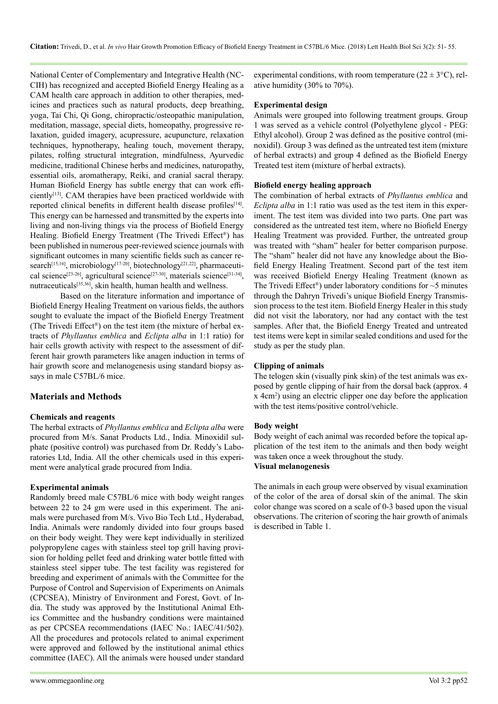National Center of Complementary and Integrative Health (NC-CIH) has recognized and accepted Biofield Energy Healing as a CAM health care approach in addition to other therapies, medicines and practices such as natural products, deep breathing, yoga, Tai Chi, Qi Gong, chiropractic/osteopathic manipulation, meditation, massage, special diets, homeopathy, progressive relaxation, guided imagery, acupressure, acupuncture, relaxation techniques, hypnotherapy, healing touch, movement therapy, pilates, rolfing structural integration, mindfulness, Ayurvedic medicine, traditional Chinese herbs and medicines, naturopathy, essential oils, aromatherapy, Reiki, and cranial sacral therapy. Human Biofield Energy has subtle energy that can work efficiently<sup>[13]</sup>. CAM therapies have been practiced worldwide with reported clinical benefits in different health disease profiles<sup>[14]</sup>. This energy can be harnessed and transmitted by the experts into living and non-living things via the process of Biofield Energy Healing. Biofield Energy Treatment (The Trivedi Effect®) has been published in numerous peer-reviewed science journals with significant outcomes in many scientific fields such as cancer research<sup>[15,16]</sup>, microbiology<sup>[17-20]</sup>, biotechnology<sup>[21,22]</sup>, pharmaceutical science[\[23-26\]](#page-4-1), agricultural scienc[e\[27-30\]](#page-4-2), materials science[\[31-34\]](#page-4-3), nutraceuticals[\[35,36\]](#page-4-4), skin health, human health and wellness.

Based on the literature information and importance of Biofield Energy Healing Treatment on various fields, the authors sought to evaluate the impact of the Biofield Energy Treatment (The Trivedi Effect®) on the test item (the mixture of herbal extracts of *Phyllantus emblica* and *Eclipta alba* in 1:1 ratio) for hair cells growth activity with respect to the assessment of different hair growth parameters like anagen induction in terms of hair growth score and melanogenesis using standard biopsy assays in male C57BL/6 mice.

# **Materials and Methods**

#### **Chemicals and reagents**

The herbal extracts of *Phyllantus emblica* and *Eclipta alba* were procured from M/s. Sanat Products Ltd., India. Minoxidil sulphate (positive control) was purchased from Dr. Reddy's Laboratories Ltd, India. All the other chemicals used in this experiment were analytical grade procured from India.

#### **Experimental animals**

Randomly breed male C57BL/6 mice with body weight ranges between 22 to 24 gm were used in this experiment. The animals were purchased from M/s. Vivo Bio Tech Ltd., Hyderabad, India. Animals were randomly divided into four groups based on their body weight. They were kept individually in sterilized polypropylene cages with stainless steel top grill having provision for holding pellet feed and drinking water bottle fitted with stainless steel sipper tube. The test facility was registered for breeding and experiment of animals with the Committee for the Purpose of Control and Supervision of Experiments on Animals (CPCSEA), Ministry of Environment and Forest, Govt. of India. The study was approved by the Institutional Animal Ethics Committee and the husbandry conditions were maintained as per CPCSEA recommendations (IAEC No.: IAEC/41/502). All the procedures and protocols related to animal experiment were approved and followed by the institutional animal ethics committee (IAEC). All the animals were housed under standard

experimental conditions, with room temperature  $(22 \pm 3^{\circ}C)$ , relative humidity (30% to 70%).

#### **Experimental design**

Animals were grouped into following treatment groups. Group 1 was served as a vehicle control (Polyethylene glycol - PEG: Ethyl alcohol). Group 2 was defined as the positive control (minoxidil). Group 3 was defined as the untreated test item (mixture of herbal extracts) and group 4 defined as the Biofield Energy Treated test item (mixture of herbal extracts).

#### **Biofield energy healing approach**

The combination of herbal extracts of *Phyllantus emblica* and *Eclipta alba* in 1:1 ratio was used as the test item in this experiment. The test item was divided into two parts. One part was considered as the untreated test item, where no Biofield Energy Healing Treatment was provided. Further, the untreated group was treated with "sham" healer for better comparison purpose. The "sham" healer did not have any knowledge about the Biofield Energy Healing Treatment. Second part of the test item was received Biofield Energy Healing Treatment (known as The Trivedi Effect<sup>®</sup>) under laboratory conditions for  $\sim$ 5 minutes through the Dahryn Trivedi's unique Biofield Energy Transmission process to the test item. Biofield Energy Healer in this study did not visit the laboratory, nor had any contact with the test samples. After that, the Biofield Energy Treated and untreated test items were kept in similar sealed conditions and used for the study as per the study plan.

#### **Clipping of animals**

The telogen skin (visually pink skin) of the test animals was exposed by gentle clipping of hair from the dorsal back (approx. 4 x 4cm<sup>2</sup> ) using an electric clipper one day before the application with the test items/positive control/vehicle.

#### **Body weight**

Body weight of each animal was recorded before the topical application of the test item to the animals and then body weight was taken once a week throughout the study.

### **Visual melanogenesis**

The animals in each group were observed by visual examination of the color of the area of dorsal skin of the animal. The skin color change was scored on a scale of 0-3 based upon the visual observations. The criterion of scoring the hair growth of animals is described in Table 1.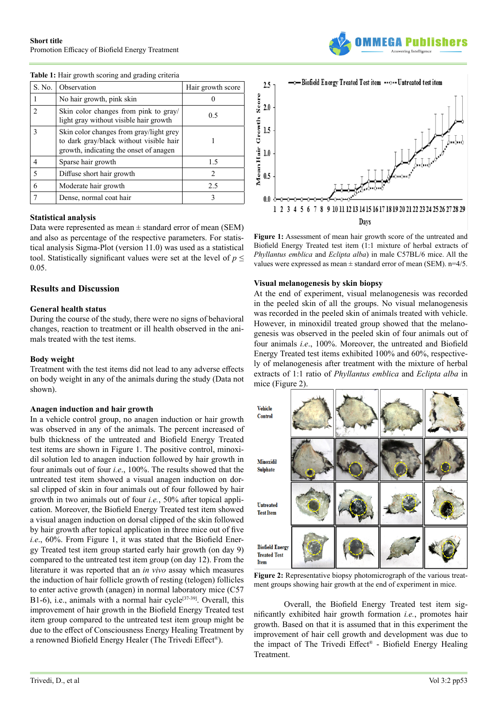| S. No. | Observation                                                                                                                  | Hair growth score |
|--------|------------------------------------------------------------------------------------------------------------------------------|-------------------|
|        | No hair growth, pink skin                                                                                                    |                   |
|        | Skin color changes from pink to gray/<br>light gray without visible hair growth                                              | 0.5               |
|        | Skin color changes from gray/light grey<br>to dark gray/black without visible hair<br>growth, indicating the onset of anagen |                   |
|        | Sparse hair growth                                                                                                           | 1.5               |
|        | Diffuse short hair growth                                                                                                    | っ                 |
|        | Moderate hair growth                                                                                                         | 2.5               |
|        | Dense, normal coat hair                                                                                                      |                   |

**Table 1:** Hair growth scoring and grading criteria

#### **Statistical analysis**

Data were represented as mean  $\pm$  standard error of mean (SEM) and also as percentage of the respective parameters. For statistical analysis Sigma-Plot (version 11.0) was used as a statistical tool. Statistically significant values were set at the level of  $p \leq$ 0.05.

#### **Results and Discussion**

#### **General health status**

During the course of the study, there were no signs of behavioral changes, reaction to treatment or ill health observed in the animals treated with the test items.

#### **Body weight**

Treatment with the test items did not lead to any adverse effects on body weight in any of the animals during the study (Data not shown).

#### **Anagen induction and hair growth**

In a vehicle control group, no anagen induction or hair growth was observed in any of the animals. The percent increased of bulb thickness of the untreated and Biofield Energy Treated test items are shown in Figure 1. The positive control, minoxidil solution led to anagen induction followed by hair growth in four animals out of four *i.e*., 100%. The results showed that the untreated test item showed a visual anagen induction on dorsal clipped of skin in four animals out of four followed by hair growth in two animals out of four *i.e.*, 50% after topical application. Moreover, the Biofield Energy Treated test item showed a visual anagen induction on dorsal clipped of the skin followed by hair growth after topical application in three mice out of five *i.e*., 60%. From Figure 1, it was stated that the Biofield Energy Treated test item group started early hair growth (on day 9) compared to the untreated test item group (on day 12). From the literature it was reported that an *in vivo* assay which measures the induction of hair follicle growth of resting (telogen) follicles to enter active growth (anagen) in normal laboratory mice (C57 B1-6), i.e., animals with a normal hair cycle<sup>[37-39]</sup>. Overall, this improvement of hair growth in the Biofield Energy Treated test item group compared to the untreated test item group might be due to the effect of Consciousness Energy Healing Treatment by a renowned Biofield Energy Healer (The Trivedi Effect®).



**Figure 1:** Assessment of mean hair growth score of the untreated and Biofield Energy Treated test item (1:1 mixture of herbal extracts of *Phyllantus emblica* and *Eclipta alba*) in male C57BL/6 mice. All the values were expressed as mean  $\pm$  standard error of mean (SEM). n=4/5.

#### **Visual melanogenesis by skin biopsy**

At the end of experiment, visual melanogenesis was recorded in the peeled skin of all the groups. No visual melanogenesis was recorded in the peeled skin of animals treated with vehicle. However, in minoxidil treated group showed that the melanogenesis was observed in the peeled skin of four animals out of four animals *i.e*., 100%. Moreover, the untreated and Biofield Energy Treated test items exhibited 100% and 60%, respectively of melanogenesis after treatment with the mixture of herbal extracts of 1:1 ratio of *Phyllantus emblica* and *Eclipta alba* in mice (Figure 2).



**Figure 2:** Representative biopsy photomicrograph of the various treatment groups showing hair growth at the end of experiment in mice.

Overall, the Biofield Energy Treated test item significantly exhibited hair growth formation *i.e.*, promotes hair growth. Based on that it is assumed that in this experiment the improvement of hair cell growth and development was due to the impact of The Trivedi Effect® - Biofield Energy Healing Treatment.

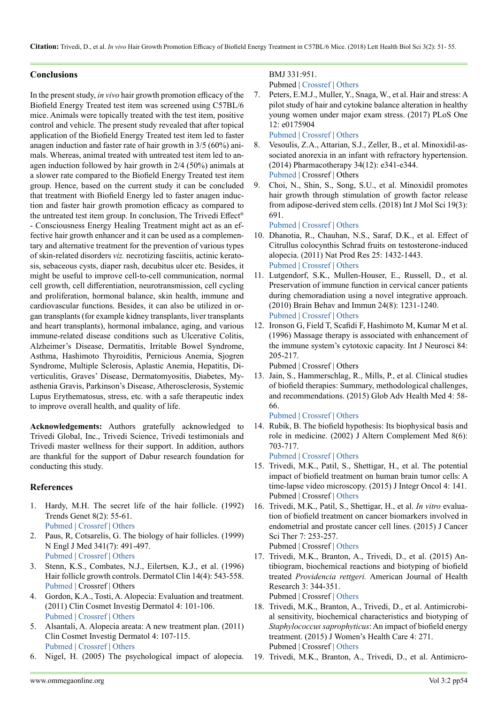## **Conclusions**

In the present study, *in vivo* hair growth promotion efficacy of the Biofield Energy Treated test item was screened using C57BL/6 mice. Animals were topically treated with the test item, positive control and vehicle. The present study revealed that after topical application of the Biofield Energy Treated test item led to faster anagen induction and faster rate of hair growth in 3/5 (60%) animals. Whereas, animal treated with untreated test item led to anagen induction followed by hair growth in 2/4 (50%) animals at a slower rate compared to the Biofield Energy Treated test item group. Hence, based on the current study it can be concluded that treatment with Biofield Energy led to faster anagen induction and faster hair growth promotion efficacy as compared to the untreated test item group. In conclusion, The Trivedi Effect® - Consciousness Energy Healing Treatment might act as an effective hair growth enhancer and it can be used as a complementary and alternative treatment for the prevention of various types of skin-related disorders *viz.* necrotizing fasciitis, actinic keratosis, sebaceous cysts, diaper rash, decubitus ulcer etc. Besides, it might be useful to improve cell-to-cell communication, normal cell growth, cell differentiation, neurotransmission, cell cycling and proliferation, hormonal balance, skin health, immune and cardiovascular functions. Besides, it can also be utilized in organ transplants (for example kidney transplants, liver transplants and heart transplants), hormonal imbalance, aging, and various immune-related disease conditions such as Ulcerative Colitis, Alzheimer's Disease, Dermatitis, Irritable Bowel Syndrome, Asthma, Hashimoto Thyroiditis, Pernicious Anemia, Sjogren Syndrome, Multiple Sclerosis, Aplastic Anemia, Hepatitis, Diverticulitis, Graves' Disease, Dermatomyositis, Diabetes, Myasthenia Gravis, Parkinson's Disease, Atherosclerosis, Systemic Lupus Erythematosus, stress, etc. with a safe therapeutic index to improve overall health, and quality of life.

**Acknowledgements:** Authors gratefully acknowledged to Trivedi Global, Inc., Trivedi Science, Trivedi testimonials and Trivedi master wellness for their support. In addition, authors are thankful for the support of Dabur research foundation for conducting this study.

#### **References**

- <span id="page-3-0"></span>1. Hardy, M.H. The secret life of the hair follicle. (1992) Trends Genet 8(2): 55-61. [Pubmed](https://www.ncbi.nlm.nih.gov/pubmed/1566372) | [Crossref](https://doi.org/10.1016/0168-9525(92)90350-D) | [Others](https://www.sciencedirect.com/science/article/pii/016895259290350D)
- 2. Paus, R, Cotsarelis, G. The biology of hair follicles. (1999) N Engl J Med 341(7): 491-497. [Pubmed](https://www.ncbi.nlm.nih.gov/pubmed/10441606) | [Crossref](https://doi.org/10.1056/NEJM199908123410706) | [Others](https://www.nejm.org/doi/10.1056/NEJM199908123410706)
- 3. Stenn, K.S., Combates, N.J., Eilertsen, K.J., et al. (1996) Hair follicle growth controls. Dermatol Clin 14(4): 543-558. [Pubmed](https://www.ncbi.nlm.nih.gov/pubmed/9238315) | Crossref | Others
- <span id="page-3-1"></span>4. Gordon, K.A., Tosti, A. Alopecia: Evaluation and treatment. (2011) Clin Cosmet Investig Dermatol 4: 101-106. [Pubmed](https://www.ncbi.nlm.nih.gov/pubmed/21833160) | [Crossref](https://doi.org/10.2147/CCID.S10182) | [Others](https://www.dovepress.com/alopecia-evaluation-and-treatment-peer-reviewed-article-CCID)
- 5. Alsantali, A. Alopecia areata: A new treatment plan. (2011) Clin Cosmet Investig Dermatol 4: 107-115. [Pubmed](https://www.ncbi.nlm.nih.gov/pubmed/21833161) | [Crossref](https://doi.org/10.2147/CCID.S22767) | [Others](https://www.dovepress.com/alopecia-areata-a-new-treatment-plan-peer-reviewed-article-CCID)
- <span id="page-3-2"></span>6. Nigel, H. (2005) The psychological impact of alopecia.

# BMJ 331:951. Pubmed | [Crossref](https://doi.org/10.1136/bmj.331.7522.951) | [Others](https://www.bmj.com/content/331/7522/951)

7. Peters, E.M.J., Muller, Y., Snaga, W., et al. Hair and stress: A pilot study of hair and cytokine balance alteration in healthy young women under major exam stress. (2017) PLoS One 12: e0175904

<span id="page-3-3"></span>[Pubmed](https://www.ncbi.nlm.nih.gov/pubmed/28423056) | [Crossref](https://doi.org/10.1371/journal.pone.0175904) | [Others](https://journals.plos.org/plosone/article?id=10.1371/journal.pone.0175904)

- 8. Vesoulis, Z.A., Attarian, S.J., Zeller, B., et al. Minoxidil-associated anorexia in an infant with refractory hypertension. (2014) Pharmacotherapy 34(12): e341-e344. [Pubmed](https://www.ncbi.nlm.nih.gov/pubmed/25280267) | Crossref | Others
- <span id="page-3-4"></span>9. Choi, N., Shin, S., Song, S.U., et al. Minoxidil promotes hair growth through stimulation of growth factor release from adipose-derived stem cells. (2018) Int J Mol Sci 19(3): 691.

#### <span id="page-3-5"></span>[Pubmed](https://www.ncbi.nlm.nih.gov/pubmed/29495622) | [Crossref](https://doi.org/10.3390/ijms19030691) | [Others](https://www.mdpi.com/1422-0067/19/3/691)

- 10. Dhanotia, R., Chauhan, N.S., Saraf, D.K., et al. Effect of Citrullus colocynthis Schrad fruits on testosterone-induced alopecia. (2011) Nat Prod Res 25: 1432-1443. [Pubmed](https://www.ncbi.nlm.nih.gov/pubmed/19764005) | [Crossref](https://doi.org/10.1080/14786410802632820) | [Others](https://www.tandfonline.com/doi/abs/10.1080/14786410802632820)
- <span id="page-3-6"></span>11. Lutgendorf, S.K., Mullen-Houser, E., Russell, D., et al. Preservation of immune function in cervical cancer patients during chemoradiation using a novel integrative approach. (2010) Brain Behav and Immun 24(8): 1231-1240. [Pubmed](https://www.ncbi.nlm.nih.gov/pubmed/20600809) | [Crossref](https://doi.org/10.1016/j.bbi.2010.06.014) | [Others](https://www.sciencedirect.com/science/article/pii/S088915911000173X?via%3Dihub)
- <span id="page-3-7"></span>12. Ironson G, Field T, Scafidi F, Hashimoto M, Kumar M et al. (1996) Massage therapy is associated with enhancement of the immune system's cytotoxic capacity. Int J Neurosci 84: 205-217.

<span id="page-3-8"></span>Pubmed | Crossref | Others

13. Jain, S., Hammerschlag, R., Mills, P., et al. Clinical studies of biofield therapies: Summary, methodological challenges, and recommendations. (2015) Glob Adv Health Med 4: 58- 66.

<span id="page-3-9"></span>[Pubmed](https://www.ncbi.nlm.nih.gov/pubmed/26665043) | [Crossref](https://doi.org/10.7453/gahmj.2015.034.suppl) | [Others](https://journals.sagepub.com/doi/10.7453/gahmj.2015.034.suppl)

14. Rubik, B. The biofield hypothesis: Its biophysical basis and role in medicine. (2002) J Altern Complement Med 8(6): 703-717.

<span id="page-3-10"></span>[Pubmed](https://www.ncbi.nlm.nih.gov/pubmed/12614524) | [Crossref](https://doi.org/10.1089/10755530260511711) | [Others](https://www.liebertpub.com/doi/10.1089/10755530260511711)

- 15. Trivedi, M.K., Patil, S., Shettigar, H., et al. The potential impact of biofield treatment on human brain tumor cells: A time-lapse video microscopy. (2015) J Integr Oncol 4: 141. Pubmed | Crossref | [Others](https://www.omicsonline.org/open-access/the-potential-impact-of-biofield-treatment-on-human-brain-tumor-cells-a-timelapse-video-microscopy-2329-6771-1000141.php?aid=60515)
- 16. Trivedi, M.K., Patil, S., Shettigar, H., et al. *In vitro* evaluation of biofield treatment on cancer biomarkers involved in endometrial and prostate cancer cell lines. (2015) J Cancer Sci Ther 7: 253-257. Pubmed | Crossref | [Others](https://www.omicsonline.org/open-access/in-vitro-evaluation-of-biofield-treatment-on-cancer-biomarkers-involved-in-endometrial-and-prostate-cancer-cell-lines-1948-5956-1000358.php?aid=58658)
- <span id="page-3-11"></span>17. Trivedi, M.K., Branton, A., Trivedi, D., et al. (2015) Antibiogram, biochemical reactions and biotyping of biofield treated *Providencia rettgeri.* American Journal of Health Research 3: 344-351. Pubmed | Crossref | [Others](https://www.semanticscholar.org/paper/Antibiogram-%2C-Biochemical-Reactions-and-Biotyping-Trivedi-Branton/d444f9050b1447c89bd22cad814edad9ba2f6d19)

18. Trivedi, M.K., Branton, A., Trivedi, D., et al. Antimicrobial sensitivity, biochemical characteristics and biotyping of *Staphylococcus saprophyticus*: An impact of biofield energy treatment. (2015) J Women's Health Care 4: 271. Pubmed | Crossref | [Others](https://www.trivedieffect.com/the-science/publications/microbiology-publications/antimicrobial-sensitivity-biochemical-characteristics-and-biotyping-of-staphylococcus-saprophyticus-an-impact-of-biofield-energy-treatment/)

19. Trivedi, M.K., Branton, A., Trivedi, D., et al. Antimicro-